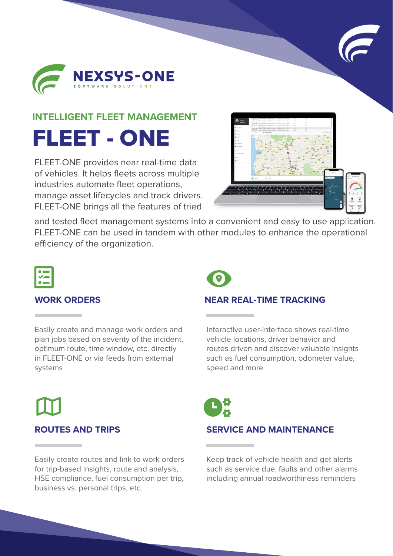



#### **INTELLIGENT FLEET MANAGEMENT**

FLEET - ONE

FLEET-ONE provides near real-time data of vehicles. It helps fleets across multiple industries automate fleet operations, manage asset lifecycles and track drivers. FLEET-ONE brings all the features of tried



and tested fleet management systems into a convenient and easy to use application. FLEET-ONE can be used in tandem with other modules to enhance the operational efficiency of the organization.



#### **WORK ORDERS**

Easily create and manage work orders and plan jobs based on severity of the incident, optimum route, time window, etc. directly in FLEET-ONE or via feeds from external systems



### **NEAR REAL-TIME TRACKING**

Interactive user-interface shows real-time vehicle locations, driver behavior and routes driven and discover valuable insights such as fuel consumption, odometer value, speed and more

# **ROUTES AND TRIPS**

Easily create routes and link to work orders for trip-based insights, route and analysis, HSE compliance, fuel consumption per trip, business vs. personal trips, etc.

Keep track of vehicle health and get alerts such as service due, faults and other alarms including annual roadworthiness reminders

**SERVICE AND MAINTENANCE**